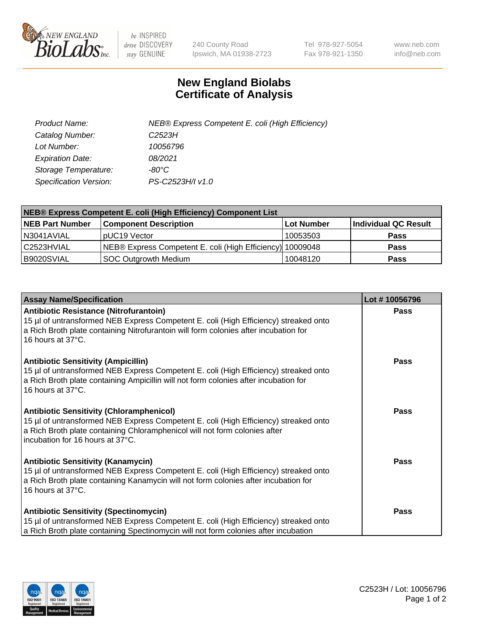

 $be$  INSPIRED drive DISCOVERY stay GENUINE

240 County Road Ipswich, MA 01938-2723 Tel 978-927-5054 Fax 978-921-1350 www.neb.com info@neb.com

## **New England Biolabs Certificate of Analysis**

| Product Name:           | NEB® Express Competent E. coli (High Efficiency) |
|-------------------------|--------------------------------------------------|
| Catalog Number:         | C <sub>2523</sub> H                              |
| Lot Number:             | 10056796                                         |
| <b>Expiration Date:</b> | 08/2021                                          |
| Storage Temperature:    | -80°C                                            |
| Specification Version:  | PS-C2523H/I v1.0                                 |

| <b>NEB® Express Competent E. coli (High Efficiency) Component List</b> |                                                           |            |                      |  |
|------------------------------------------------------------------------|-----------------------------------------------------------|------------|----------------------|--|
| <b>NEB Part Number</b>                                                 | <b>Component Description</b>                              | Lot Number | Individual QC Result |  |
| N3041AVIAL                                                             | pUC19 Vector                                              | 10053503   | <b>Pass</b>          |  |
| l C2523HVIAL                                                           | NEB® Express Competent E. coli (High Efficiency) 10009048 |            | <b>Pass</b>          |  |
| B9020SVIAL                                                             | <b>SOC Outgrowth Medium</b>                               | 10048120   | <b>Pass</b>          |  |

| <b>Assay Name/Specification</b>                                                                                                                                                                                                                           | Lot #10056796 |
|-----------------------------------------------------------------------------------------------------------------------------------------------------------------------------------------------------------------------------------------------------------|---------------|
| Antibiotic Resistance (Nitrofurantoin)<br>15 µl of untransformed NEB Express Competent E. coli (High Efficiency) streaked onto<br>a Rich Broth plate containing Nitrofurantoin will form colonies after incubation for<br>16 hours at 37°C.               | Pass          |
| <b>Antibiotic Sensitivity (Ampicillin)</b><br>15 µl of untransformed NEB Express Competent E. coli (High Efficiency) streaked onto<br>a Rich Broth plate containing Ampicillin will not form colonies after incubation for<br>16 hours at 37°C.           | Pass          |
| <b>Antibiotic Sensitivity (Chloramphenicol)</b><br>15 µl of untransformed NEB Express Competent E. coli (High Efficiency) streaked onto<br>a Rich Broth plate containing Chloramphenicol will not form colonies after<br>incubation for 16 hours at 37°C. | <b>Pass</b>   |
| <b>Antibiotic Sensitivity (Kanamycin)</b><br>15 µl of untransformed NEB Express Competent E. coli (High Efficiency) streaked onto<br>a Rich Broth plate containing Kanamycin will not form colonies after incubation for<br>16 hours at 37°C.             | Pass          |
| <b>Antibiotic Sensitivity (Spectinomycin)</b><br>15 µl of untransformed NEB Express Competent E. coli (High Efficiency) streaked onto<br>a Rich Broth plate containing Spectinomycin will not form colonies after incubation                              | Pass          |